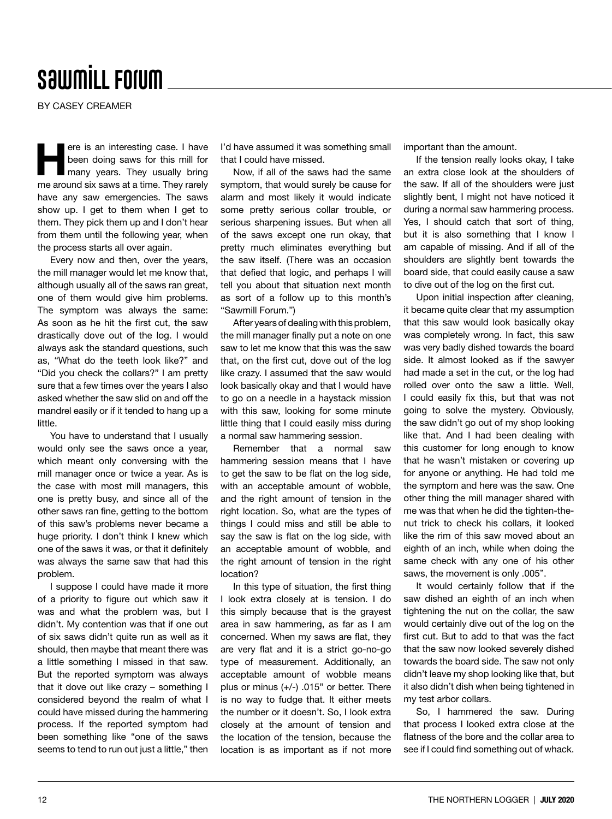## **SawmiLL Forum**

BY CASEY CREAMER

ere is an interesting case. I have<br>been doing saws for this mill for<br>many years. They usually bring been doing saws for this mill for many years. They usually bring me around six saws at a time. They rarely have any saw emergencies. The saws show up. I get to them when I get to them. They pick them up and I don't hear from them until the following year, when the process starts all over again.

Every now and then, over the years, the mill manager would let me know that, although usually all of the saws ran great, one of them would give him problems. The symptom was always the same: As soon as he hit the first cut, the saw drastically dove out of the log. I would always ask the standard questions, such as, "What do the teeth look like?" and "Did you check the collars?" I am pretty sure that a few times over the years I also asked whether the saw slid on and off the mandrel easily or if it tended to hang up a little.

You have to understand that I usually would only see the saws once a year, which meant only conversing with the mill manager once or twice a year. As is the case with most mill managers, this one is pretty busy, and since all of the other saws ran fine, getting to the bottom of this saw's problems never became a huge priority. I don't think I knew which one of the saws it was, or that it definitely was always the same saw that had this problem.

I suppose I could have made it more of a priority to figure out which saw it was and what the problem was, but I didn't. My contention was that if one out of six saws didn't quite run as well as it should, then maybe that meant there was a little something I missed in that saw. But the reported symptom was always that it dove out like crazy – something I considered beyond the realm of what I could have missed during the hammering process. If the reported symptom had been something like "one of the saws seems to tend to run out just a little," then

I'd have assumed it was something small that I could have missed.

Now, if all of the saws had the same symptom, that would surely be cause for alarm and most likely it would indicate some pretty serious collar trouble, or serious sharpening issues. But when all of the saws except one run okay, that pretty much eliminates everything but the saw itself. (There was an occasion that defied that logic, and perhaps I will tell you about that situation next month as sort of a follow up to this month's "Sawmill Forum.")

After years of dealing with this problem, the mill manager finally put a note on one saw to let me know that this was the saw that, on the first cut, dove out of the log like crazy. I assumed that the saw would look basically okay and that I would have to go on a needle in a haystack mission with this saw, looking for some minute little thing that I could easily miss during a normal saw hammering session.

Remember that a normal saw hammering session means that I have to get the saw to be flat on the log side, with an acceptable amount of wobble, and the right amount of tension in the right location. So, what are the types of things I could miss and still be able to say the saw is flat on the log side, with an acceptable amount of wobble, and the right amount of tension in the right location?

In this type of situation, the first thing I look extra closely at is tension. I do this simply because that is the grayest area in saw hammering, as far as I am concerned. When my saws are flat, they are very flat and it is a strict go-no-go type of measurement. Additionally, an acceptable amount of wobble means plus or minus (+/-) .015" or better. There is no way to fudge that. It either meets the number or it doesn't. So, I look extra closely at the amount of tension and the location of the tension, because the location is as important as if not more important than the amount.

If the tension really looks okay, I take an extra close look at the shoulders of the saw. If all of the shoulders were just slightly bent. I might not have noticed it during a normal saw hammering process. Yes, I should catch that sort of thing, but it is also something that I know I am capable of missing. And if all of the shoulders are slightly bent towards the board side, that could easily cause a saw to dive out of the log on the first cut.

Upon initial inspection after cleaning, it became quite clear that my assumption that this saw would look basically okay was completely wrong. In fact, this saw was very badly dished towards the board side. It almost looked as if the sawyer had made a set in the cut, or the log had rolled over onto the saw a little. Well, I could easily fix this, but that was not going to solve the mystery. Obviously, the saw didn't go out of my shop looking like that. And I had been dealing with this customer for long enough to know that he wasn't mistaken or covering up for anyone or anything. He had told me the symptom and here was the saw. One other thing the mill manager shared with me was that when he did the tighten-thenut trick to check his collars, it looked like the rim of this saw moved about an eighth of an inch, while when doing the same check with any one of his other saws, the movement is only .005".

It would certainly follow that if the saw dished an eighth of an inch when tightening the nut on the collar, the saw would certainly dive out of the log on the first cut. But to add to that was the fact that the saw now looked severely dished towards the board side. The saw not only didn't leave my shop looking like that, but it also didn't dish when being tightened in my test arbor collars.

So, I hammered the saw. During that process I looked extra close at the flatness of the bore and the collar area to see if I could find something out of whack.